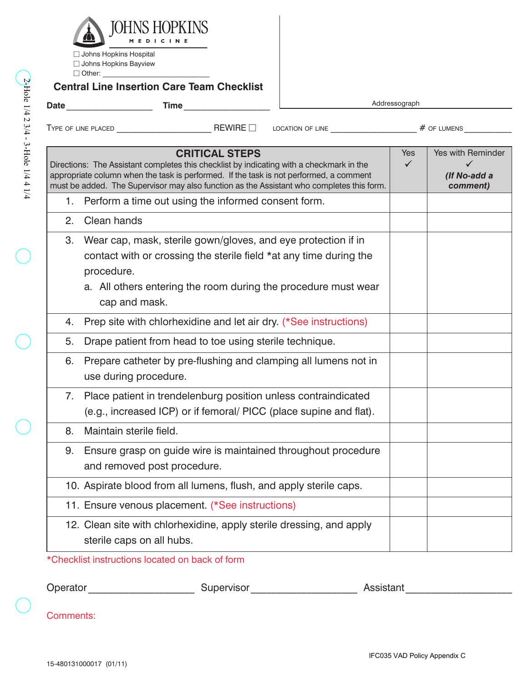

 $\Box$  Johns Hopkins Hospital  $\Box$  Johns Hopkins Bayview  $\Box$  Other:  $\Box$ 

## **Central Line Insertion Care Team Checklist**

| y                        |
|--------------------------|
| ı.<br>Hole<br>ì          |
| 1/4                      |
|                          |
| N                        |
| 3/4                      |
|                          |
| f,                       |
| ب<br>J                   |
| Hole                     |
| J                        |
| 4                        |
| 4<br>i.                  |
|                          |
| $\overline{\phantom{a}}$ |

|                  |                                                                                                                                                                                                                                                                                                          | Addressograph       |                                               |
|------------------|----------------------------------------------------------------------------------------------------------------------------------------------------------------------------------------------------------------------------------------------------------------------------------------------------------|---------------------|-----------------------------------------------|
|                  |                                                                                                                                                                                                                                                                                                          |                     |                                               |
|                  | <b>CRITICAL STEPS</b><br>Directions: The Assistant completes this checklist by indicating with a checkmark in the<br>appropriate column when the task is performed. If the task is not performed, a comment<br>must be added. The Supervisor may also function as the Assistant who completes this form. | Yes<br>$\checkmark$ | Yes with Reminder<br>(If No-add a<br>comment) |
|                  | 1. Perform a time out using the informed consent form.                                                                                                                                                                                                                                                   |                     |                                               |
| 2.               | Clean hands                                                                                                                                                                                                                                                                                              |                     |                                               |
| 3.               | Wear cap, mask, sterile gown/gloves, and eye protection if in<br>contact with or crossing the sterile field *at any time during the<br>procedure.<br>a. All others entering the room during the procedure must wear<br>cap and mask.                                                                     |                     |                                               |
| 4.               | Prep site with chlorhexidine and let air dry. (*See instructions)                                                                                                                                                                                                                                        |                     |                                               |
| 5.               | Drape patient from head to toe using sterile technique.                                                                                                                                                                                                                                                  |                     |                                               |
| 6.               | Prepare catheter by pre-flushing and clamping all lumens not in<br>use during procedure.                                                                                                                                                                                                                 |                     |                                               |
| 7.               | Place patient in trendelenburg position unless contraindicated<br>(e.g., increased ICP) or if femoral/ PICC (place supine and flat).                                                                                                                                                                     |                     |                                               |
| 8.               | Maintain sterile field.                                                                                                                                                                                                                                                                                  |                     |                                               |
|                  | 9. Ensure grasp on guide wire is maintained throughout procedure<br>and removed post procedure.                                                                                                                                                                                                          |                     |                                               |
|                  | 10. Aspirate blood from all lumens, flush, and apply sterile caps.                                                                                                                                                                                                                                       |                     |                                               |
|                  | 11. Ensure venous placement. (*See instructions)                                                                                                                                                                                                                                                         |                     |                                               |
|                  | 12. Clean site with chlorhexidine, apply sterile dressing, and apply<br>sterile caps on all hubs.                                                                                                                                                                                                        |                     |                                               |
|                  | *Checklist instructions located on back of form                                                                                                                                                                                                                                                          |                     |                                               |
|                  |                                                                                                                                                                                                                                                                                                          |                     |                                               |
| <b>Comments:</b> |                                                                                                                                                                                                                                                                                                          |                     |                                               |
|                  |                                                                                                                                                                                                                                                                                                          |                     |                                               |

## \*Checklist instructions located on back of form

| Operator<br>.<br>ັັ | ervisor<br>. . ⊶ | $\sim$ nigton' |
|---------------------|------------------|----------------|
|                     |                  |                |